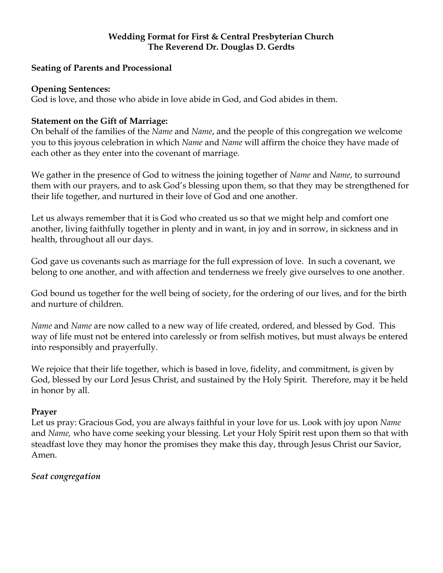### **Wedding Format for First & Central Presbyterian Church The Reverend Dr. Douglas D. Gerdts**

### **Seating of Parents and Processional**

#### **Opening Sentences:**

God is love, and those who abide in love abide in God, and God abides in them.

## **Statement on the Gift of Marriage:**

On behalf of the families of the *Name* and *Name*, and the people of this congregation we welcome you to this joyous celebration in which *Name* and *Name* will affirm the choice they have made of each other as they enter into the covenant of marriage.

We gather in the presence of God to witness the joining together of *Name* and *Name*, to surround them with our prayers, and to ask God's blessing upon them, so that they may be strengthened for their life together, and nurtured in their love of God and one another.

Let us always remember that it is God who created us so that we might help and comfort one another, living faithfully together in plenty and in want, in joy and in sorrow, in sickness and in health, throughout all our days.

God gave us covenants such as marriage for the full expression of love. In such a covenant, we belong to one another, and with affection and tenderness we freely give ourselves to one another.

God bound us together for the well being of society, for the ordering of our lives, and for the birth and nurture of children.

*Name* and *Name* are now called to a new way of life created, ordered, and blessed by God. This way of life must not be entered into carelessly or from selfish motives, but must always be entered into responsibly and prayerfully.

We rejoice that their life together, which is based in love, fidelity, and commitment, is given by God, blessed by our Lord Jesus Christ, and sustained by the Holy Spirit. Therefore, may it be held in honor by all.

### **Prayer**

Let us pray: Gracious God, you are always faithful in your love for us. Look with joy upon *Name*  and *Name,* who have come seeking your blessing. Let your Holy Spirit rest upon them so that with steadfast love they may honor the promises they make this day, through Jesus Christ our Savior, Amen.

### *Seat congregation*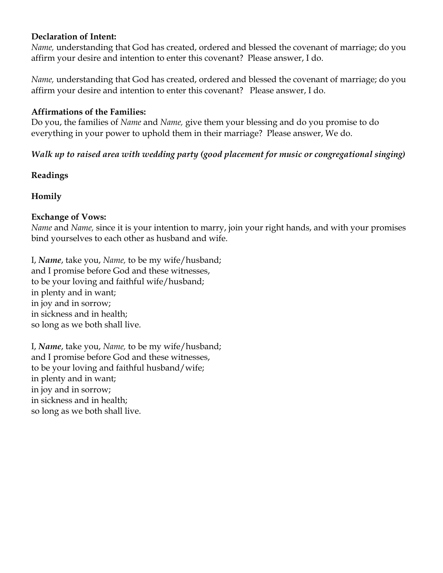#### **Declaration of Intent:**

*Name,* understanding that God has created, ordered and blessed the covenant of marriage; do you affirm your desire and intention to enter this covenant? Please answer, I do.

*Name,* understanding that God has created, ordered and blessed the covenant of marriage; do you affirm your desire and intention to enter this covenant? Please answer, I do.

### **Affirmations of the Families:**

Do you, the families of *Name* and *Name,* give them your blessing and do you promise to do everything in your power to uphold them in their marriage? Please answer, We do.

# *Walk up to raised area with wedding party (good placement for music or congregational singing)*

### **Readings**

# **Homily**

#### **Exchange of Vows:**

*Name* and *Name,* since it is your intention to marry, join your right hands, and with your promises bind yourselves to each other as husband and wife.

I, *Name*, take you, *Name,* to be my wife/husband; and I promise before God and these witnesses, to be your loving and faithful wife/husband; in plenty and in want; in joy and in sorrow; in sickness and in health; so long as we both shall live.

I, *Name*, take you, *Name,* to be my wife/husband; and I promise before God and these witnesses, to be your loving and faithful husband/wife; in plenty and in want; in joy and in sorrow; in sickness and in health; so long as we both shall live.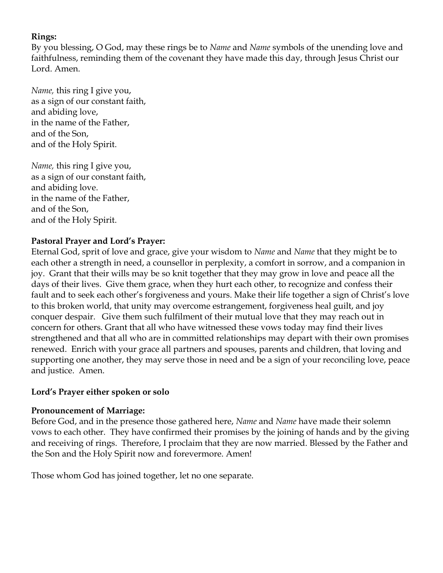## **Rings:**

By you blessing, O God, may these rings be to *Name* and *Name* symbols of the unending love and faithfulness, reminding them of the covenant they have made this day, through Jesus Christ our Lord. Amen.

*Name,* this ring I give you, as a sign of our constant faith, and abiding love, in the name of the Father, and of the Son, and of the Holy Spirit.

*Name,* this ring I give you, as a sign of our constant faith, and abiding love. in the name of the Father, and of the Son, and of the Holy Spirit.

# **Pastoral Prayer and Lord's Prayer:**

Eternal God, sprit of love and grace, give your wisdom to *Name* and *Name* that they might be to each other a strength in need, a counsellor in perplexity, a comfort in sorrow, and a companion in joy. Grant that their wills may be so knit together that they may grow in love and peace all the days of their lives. Give them grace, when they hurt each other, to recognize and confess their fault and to seek each other's forgiveness and yours. Make their life together a sign of Christ's love to this broken world, that unity may overcome estrangement, forgiveness heal guilt, and joy conquer despair. Give them such fulfilment of their mutual love that they may reach out in concern for others. Grant that all who have witnessed these vows today may find their lives strengthened and that all who are in committed relationships may depart with their own promises renewed. Enrich with your grace all partners and spouses, parents and children, that loving and supporting one another, they may serve those in need and be a sign of your reconciling love, peace and justice. Amen.

# **Lord's Prayer either spoken or solo**

# **Pronouncement of Marriage:**

Before God, and in the presence those gathered here, *Name* and *Name* have made their solemn vows to each other. They have confirmed their promises by the joining of hands and by the giving and receiving of rings. Therefore, I proclaim that they are now married. Blessed by the Father and the Son and the Holy Spirit now and forevermore. Amen!

Those whom God has joined together, let no one separate.